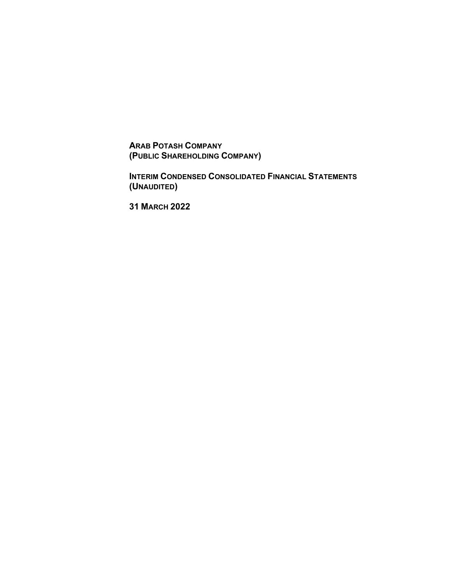**ARAB POTASH COMPANY (PUBLIC SHAREHOLDING COMPANY)**

**INTERIM CONDENSED CONSOLIDATED FINANCIAL STATEMENTS (UNAUDITED )**

**31 MARCH 2022**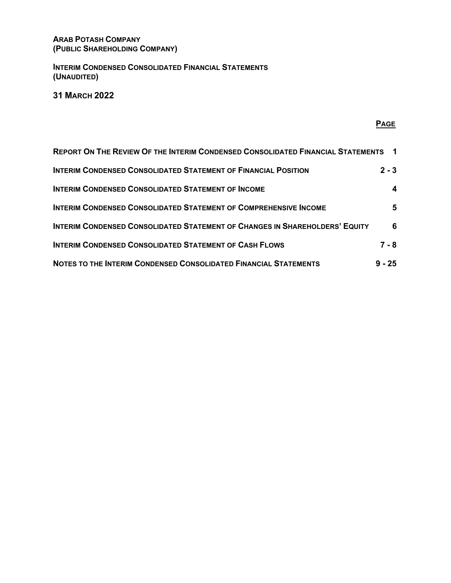# **ARAB POTASH COMPANY (PUBLIC SHAREHOLDING COMPANY)**

**INTERIM CONDENSED CONSOLIDATED FINANCIAL STATEMENTS (UNAUDITED)**

**31 MARCH 2022**

# **PAGE**

| <b>REPORT ON THE REVIEW OF THE INTERIM CONDENSED CONSOLIDATED FINANCIAL STATEMENTS 1</b> |          |
|------------------------------------------------------------------------------------------|----------|
| <b>INTERIM CONDENSED CONSOLIDATED STATEMENT OF FINANCIAL POSITION</b>                    | $2 - 3$  |
| <b>INTERIM CONDENSED CONSOLIDATED STATEMENT OF INCOME</b>                                |          |
| <b>INTERIM CONDENSED CONSOLIDATED STATEMENT OF COMPREHENSIVE INCOME</b>                  | 5.       |
| <b>INTERIM CONDENSED CONSOLIDATED STATEMENT OF CHANGES IN SHAREHOLDERS' EQUITY</b>       | 6        |
| <b>INTERIM CONDENSED CONSOLIDATED STATEMENT OF CASH FLOWS</b>                            | $7 - 8$  |
| NOTES TO THE INTERIM CONDENSED CONSOLIDATED FINANCIAL STATEMENTS                         | $9 - 25$ |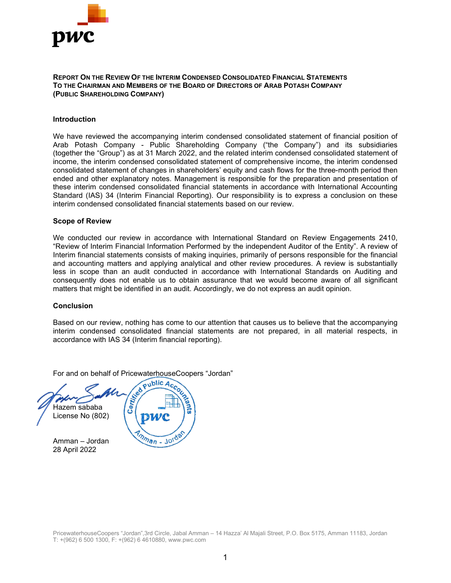

**REPORT ON THE REVIEW OF THE INTERIM CONDENSED CONSOLIDATED FINANCIAL STATEMENTS TO THE CHAIRMAN AND MEMBERS OF THE BOARD OF DIRECTORS OF ARAB POTASH COMPANY (PUBLIC SHAREHOLDING COMPANY)** 

#### **Introduction**

We have reviewed the accompanying interim condensed consolidated statement of financial position of Arab Potash Company - Public Shareholding Company ("the Company") and its subsidiaries (together the "Group") as at 31 March 2022, and the related interim condensed consolidated statement of income, the interim condensed consolidated statement of comprehensive income, the interim condensed consolidated statement of changes in shareholders' equity and cash flows for the three-month period then ended and other explanatory notes. Management is responsible for the preparation and presentation of these interim condensed consolidated financial statements in accordance with International Accounting Standard (IAS) 34 (Interim Financial Reporting). Our responsibility is to express a conclusion on these interim condensed consolidated financial statements based on our review.

#### **Scope of Review**

We conducted our review in accordance with International Standard on Review Engagements 2410, "Review of Interim Financial Information Performed by the independent Auditor of the Entity". A review of Interim financial statements consists of making inquiries, primarily of persons responsible for the financial and accounting matters and applying analytical and other review procedures. A review is substantially less in scope than an audit conducted in accordance with International Standards on Auditing and consequently does not enable us to obtain assurance that we would become aware of all significant matters that might be identified in an audit. Accordingly, we do not express an audit opinion.

#### **Conclusion**

Based on our review, nothing has come to our attention that causes us to believe that the accompanying interim condensed consolidated financial statements are not prepared, in all material respects, in accordance with IAS 34 (Interim financial reporting).

For and on behalf of PricewaterhouseCoopers "Jordan" Certification Hazem sababa License No (802) Amman – Jordan 28 April 2022

PricewaterhouseCoopers "Jordan",3rd Circle, Jabal Amman – 14 Hazza' Al Majali Street, P.O. Box 5175, Amman 11183, Jordan T: +(962) 6 500 1300, F: +(962) 6 4610880[, www.pwc.com](http://www.pwc.com/)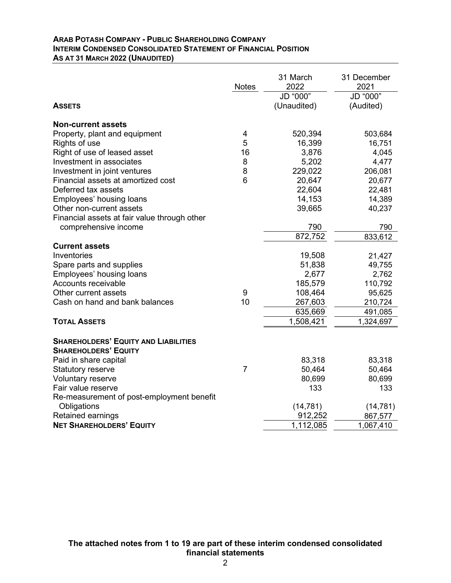#### **ARAB POTASH COMPANY - PUBLIC SHAREHOLDING COMPANY INTERIM CONDENSED CONSOLIDATED STATEMENT OF FINANCIAL POSITION AS AT 31 MARCH 2022 (UNAUDITED)**

|                                                           | <b>Notes</b>   | 31 March<br>2022        | 31 December<br>2021   |
|-----------------------------------------------------------|----------------|-------------------------|-----------------------|
| <b>ASSETS</b>                                             |                | JD "000"<br>(Unaudited) | JD "000"<br>(Audited) |
|                                                           |                |                         |                       |
| <b>Non-current assets</b>                                 |                |                         |                       |
| Property, plant and equipment                             | $\overline{4}$ | 520,394                 | 503,684               |
| Rights of use                                             | 5              | 16,399                  | 16,751                |
| Right of use of leased asset                              | 16             | 3,876                   | 4,045                 |
| Investment in associates                                  | 8              | 5,202                   | 4,477                 |
| Investment in joint ventures                              | 8<br>6         | 229,022                 | 206,081               |
| Financial assets at amortized cost<br>Deferred tax assets |                | 20,647                  | 20,677                |
| Employees' housing loans                                  |                | 22,604<br>14,153        | 22,481<br>14,389      |
| Other non-current assets                                  |                | 39,665                  | 40,237                |
| Financial assets at fair value through other              |                |                         |                       |
| comprehensive income                                      |                | 790                     | 790                   |
|                                                           |                | 872,752                 | 833,612               |
| <b>Current assets</b>                                     |                |                         |                       |
| Inventories                                               |                | 19,508                  | 21,427                |
| Spare parts and supplies                                  |                | 51,838                  | 49,755                |
| Employees' housing loans                                  |                | 2,677                   | 2,762                 |
| Accounts receivable                                       |                | 185,579                 | 110,792               |
| Other current assets                                      | 9              | 108,464                 | 95,625                |
| Cash on hand and bank balances                            | 10             | 267,603                 | 210,724               |
|                                                           |                | 635,669                 | 491,085               |
| <b>TOTAL ASSETS</b>                                       |                | 1,508,421               | 1,324,697             |
| <b>SHAREHOLDERS' EQUITY AND LIABILITIES</b>               |                |                         |                       |
| <b>SHAREHOLDERS' EQUITY</b>                               |                |                         |                       |
| Paid in share capital                                     |                | 83,318                  | 83,318                |
| <b>Statutory reserve</b>                                  | $\overline{7}$ | 50,464                  | 50,464                |
| <b>Voluntary reserve</b>                                  |                | 80,699                  | 80,699                |
| Fair value reserve                                        |                | 133                     | 133                   |
| Re-measurement of post-employment benefit                 |                |                         |                       |
| Obligations                                               |                | (14, 781)               | (14, 781)             |
| Retained earnings                                         |                | 912,252                 | 867,577               |
| <b>NET SHAREHOLDERS' EQUITY</b>                           |                | 1,112,085               | 1,067,410             |

**The attached notes from 1 to 19 are part of these interim condensed consolidated financial statements**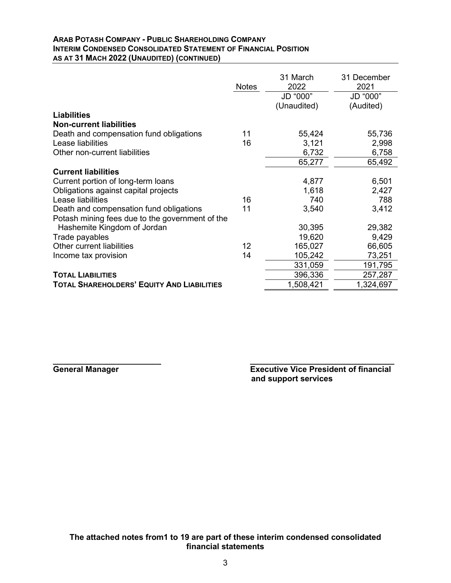## **ARAB POTASH COMPANY - PUBLIC SHAREHOLDING COMPANY INTERIM CONDENSED CONSOLIDATED STATEMENT OF FINANCIAL POSITION AS AT 31 MACH 2022 (UNAUDITED) (CONTINUED)**

|                                                   | <b>Notes</b> | 31 March<br>2022<br>JD "000"<br>(Unaudited) | 31 December<br>2021<br>JD "000"<br>(Audited) |
|---------------------------------------------------|--------------|---------------------------------------------|----------------------------------------------|
| <b>Liabilities</b>                                |              |                                             |                                              |
| <b>Non-current liabilities</b>                    |              |                                             |                                              |
| Death and compensation fund obligations           | 11           | 55,424                                      | 55,736                                       |
| Lease liabilities                                 | 16           | 3,121                                       | 2,998                                        |
| Other non-current liabilities                     |              | 6,732                                       | 6,758                                        |
|                                                   |              | 65,277                                      | 65,492                                       |
| <b>Current liabilities</b>                        |              |                                             |                                              |
| Current portion of long-term loans                |              | 4,877                                       | 6,501                                        |
| Obligations against capital projects              |              | 1,618                                       | 2,427                                        |
| Lease liabilities                                 | 16           | 740                                         | 788                                          |
| Death and compensation fund obligations           | 11           | 3,540                                       | 3,412                                        |
| Potash mining fees due to the government of the   |              |                                             |                                              |
| Hashemite Kingdom of Jordan                       |              | 30,395                                      | 29,382                                       |
| Trade payables                                    |              | 19,620                                      | 9,429                                        |
| Other current liabilities                         | 12           | 165,027                                     | 66,605                                       |
| Income tax provision                              | 14           | 105,242                                     | 73,251                                       |
|                                                   |              | 331,059                                     | 191,795                                      |
| <b>TOTAL LIABILITIES</b>                          |              | 396,336                                     | 257,287                                      |
| <b>TOTAL SHAREHOLDERS' EQUITY AND LIABILITIES</b> |              | 1,508,421                                   | 1,324,697                                    |

**\_\_\_\_\_\_\_\_\_\_\_\_\_\_\_\_\_\_\_\_\_\_\_\_ \_\_\_\_\_\_\_\_\_\_\_\_\_\_\_\_\_\_\_\_\_\_\_\_\_\_\_\_\_\_\_\_ General Manager Executive Vice President of financial and support services**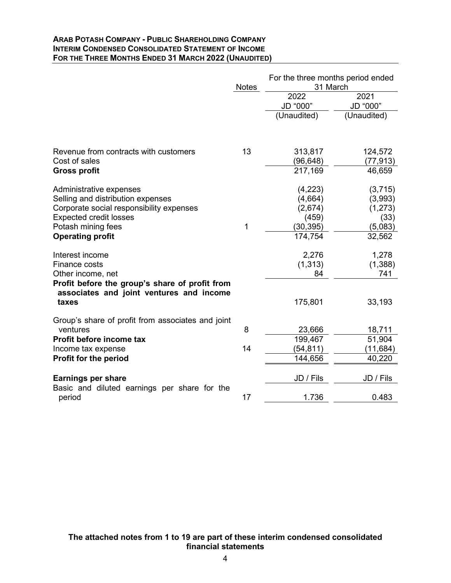#### **ARAB POTASH COMPANY - PUBLIC SHAREHOLDING COMPANY INTERIM CONDENSED CONSOLIDATED STATEMENT OF INCOME FOR THE THREE MONTHS ENDED 31 MARCH 2022 (UNAUDITED)**

|                                                                                                                                                                                            | <b>Notes</b> | For the three months period ended<br>31 March                 |                                                             |
|--------------------------------------------------------------------------------------------------------------------------------------------------------------------------------------------|--------------|---------------------------------------------------------------|-------------------------------------------------------------|
|                                                                                                                                                                                            |              | 2022<br>JD "000"                                              | 2021<br>JD "000"                                            |
|                                                                                                                                                                                            |              | (Unaudited)                                                   | (Unaudited)                                                 |
| Revenue from contracts with customers                                                                                                                                                      | 13           | 313,817                                                       | 124,572                                                     |
| Cost of sales<br><b>Gross profit</b>                                                                                                                                                       |              | (96, 648)<br>217,169                                          | (77,913)<br>46,659                                          |
| Administrative expenses<br>Selling and distribution expenses<br>Corporate social responsibility expenses<br><b>Expected credit losses</b><br>Potash mining fees<br><b>Operating profit</b> | 1            | (4,223)<br>(4,664)<br>(2,674)<br>(459)<br>(30,395)<br>174,754 | (3,715)<br>(3,993)<br>(1, 273)<br>(33)<br>(5,083)<br>32,562 |
| Interest income<br>Finance costs<br>Other income, net<br>Profit before the group's share of profit from<br>associates and joint ventures and income<br>taxes                               |              | 2,276<br>(1, 313)<br>84<br>175,801                            | 1,278<br>(1,388)<br>741<br>33,193                           |
| Group's share of profit from associates and joint<br>ventures                                                                                                                              | 8            | 23,666                                                        | 18,711                                                      |
| Profit before income tax<br>Income tax expense<br>Profit for the period                                                                                                                    | 14           | 199,467<br>(54, 811)<br>144,656                               | 51,904<br>(11, 684)<br>40,220                               |
| <b>Earnings per share</b>                                                                                                                                                                  |              | JD / Fils                                                     | JD / Fils                                                   |
| Basic and diluted earnings per share for the<br>period                                                                                                                                     | 17           | 1.736                                                         | 0.483                                                       |

# **The attached notes from 1 to 19 are part of these interim condensed consolidated financial statements**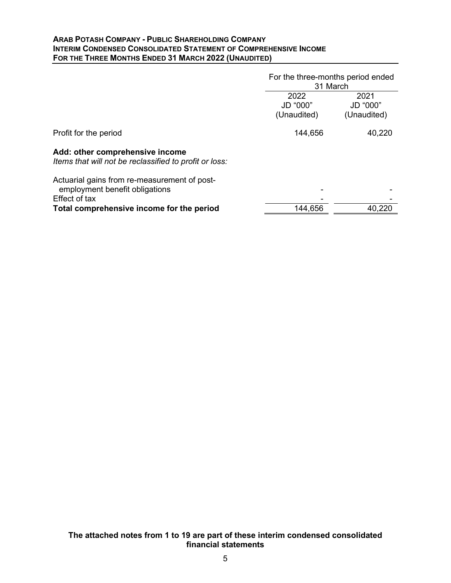#### **ARAB POTASH COMPANY - PUBLIC SHAREHOLDING COMPANY INTERIM CONDENSED CONSOLIDATED STATEMENT OF COMPREHENSIVE INCOME FOR THE THREE MONTHS ENDED 31 MARCH 2022 (UNAUDITED)**

|                                                                                           | For the three-months period ended<br>31 March |                                 |
|-------------------------------------------------------------------------------------------|-----------------------------------------------|---------------------------------|
|                                                                                           | 2022<br>JD "000"<br>(Unaudited)               | 2021<br>JD "000"<br>(Unaudited) |
| Profit for the period                                                                     | 144,656                                       | 40,220                          |
| Add: other comprehensive income<br>Items that will not be reclassified to profit or loss: |                                               |                                 |
| Actuarial gains from re-measurement of post-<br>employment benefit obligations            |                                               |                                 |
| Effect of tax<br>Total comprehensive income for the period                                | 144,656                                       | 40,220                          |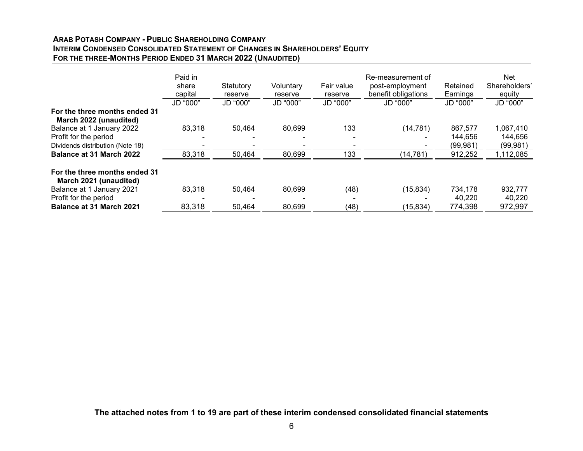## **ARAB POTASH COMPANY - PUBLIC SHAREHOLDING COMPANY INTERIM CONDENSED CONSOLIDATED STATEMENT OF CHANGES IN SHAREHOLDERS' EQUITY FOR THE THREE-MONTHS PERIOD ENDED 31 MARCH 2022 (UNAUDITED)**

|                                                         | Paid in<br>share<br>capital | Statutory<br>reserve | Voluntary<br>reserve | Fair value<br>reserve | Re-measurement of<br>post-employment<br>benefit obligations | Retained<br>Earnings | <b>Net</b><br>Shareholders'<br>equity |
|---------------------------------------------------------|-----------------------------|----------------------|----------------------|-----------------------|-------------------------------------------------------------|----------------------|---------------------------------------|
|                                                         | JD "000"                    | JD "000"             | JD "000"             | JD "000"              | JD "000"                                                    | JD "000"             | JD "000"                              |
| For the three months ended 31<br>March 2022 (unaudited) |                             |                      |                      |                       |                                                             |                      |                                       |
| Balance at 1 January 2022                               | 83,318                      | 50,464               | 80,699               | 133                   | (14, 781)                                                   | 867.577              | 1,067,410                             |
| Profit for the period                                   |                             |                      |                      |                       |                                                             | 144.656              | 144,656                               |
| Dividends distribution (Note 18)                        |                             |                      |                      |                       |                                                             | (99, 981)            | (99,981)                              |
| <b>Balance at 31 March 2022</b>                         | 83,318                      | 50,464               | 80,699               | 133                   | (14, 781)                                                   | 912,252              | 1,112,085                             |
| For the three months ended 31<br>March 2021 (unaudited) |                             |                      |                      |                       |                                                             |                      |                                       |
| Balance at 1 January 2021                               | 83,318                      | 50.464               | 80,699               | (48)                  | (15, 834)                                                   | 734,178              | 932,777                               |
| Profit for the period                                   |                             |                      |                      |                       |                                                             | 40,220               | 40,220                                |
| Balance at 31 March 2021                                | 83,318                      | 50,464               | 80,699               | (48)                  | (15, 834)                                                   | 774,398              | 972,997                               |

**The attached notes from 1 to 19 are part of these interim condensed consolidated financial statements**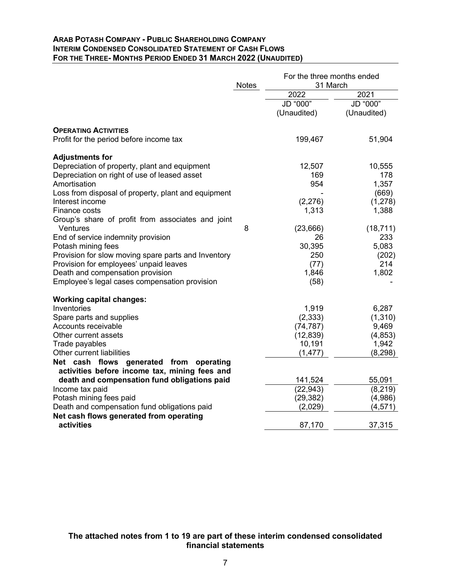#### **ARAB POTASH COMPANY - PUBLIC SHAREHOLDING COMPANY INTERIM CONDENSED CONSOLIDATED STATEMENT OF CASH FLOWS FOR THE THREE- MONTHS PERIOD ENDED 31 MARCH 2022 (UNAUDITED)**

|                                                                                             | <b>Notes</b> | For the three months ended<br>31 March |                         |
|---------------------------------------------------------------------------------------------|--------------|----------------------------------------|-------------------------|
|                                                                                             |              | 2022                                   | 2021                    |
|                                                                                             |              | JD "000"<br>(Unaudited)                | JD "000"<br>(Unaudited) |
| <b>OPERATING ACTIVITIES</b>                                                                 |              |                                        |                         |
| Profit for the period before income tax                                                     |              | 199,467                                | 51,904                  |
| <b>Adjustments for</b>                                                                      |              |                                        |                         |
| Depreciation of property, plant and equipment                                               |              | 12,507                                 | 10,555                  |
| Depreciation on right of use of leased asset                                                |              | 169                                    | 178                     |
| Amortisation                                                                                |              | 954                                    | 1,357                   |
| Loss from disposal of property, plant and equipment                                         |              |                                        | (669)                   |
| Interest income                                                                             |              | (2,276)                                | (1,278)                 |
| Finance costs                                                                               |              | 1,313                                  | 1,388                   |
| Group's share of profit from associates and joint                                           |              |                                        |                         |
| Ventures                                                                                    | 8            | (23, 666)                              | (18, 711)               |
| End of service indemnity provision                                                          |              | 26                                     | 233                     |
| Potash mining fees                                                                          |              | 30,395                                 | 5,083                   |
| Provision for slow moving spare parts and Inventory                                         |              | 250                                    | (202)                   |
| Provision for employees' unpaid leaves                                                      |              | (77)                                   | 214                     |
| Death and compensation provision                                                            |              | 1,846                                  | 1,802                   |
| Employee's legal cases compensation provision                                               |              | (58)                                   |                         |
| <b>Working capital changes:</b>                                                             |              |                                        |                         |
| Inventories                                                                                 |              | 1,919                                  | 6,287                   |
| Spare parts and supplies                                                                    |              | (2, 333)                               | (1,310)                 |
| Accounts receivable                                                                         |              | (74, 787)                              | 9,469                   |
| Other current assets                                                                        |              | (12, 839)                              | (4, 853)                |
| Trade payables                                                                              |              | 10,191                                 | 1,942                   |
| Other current liabilities                                                                   |              | (1, 477)                               | (8, 298)                |
| Net cash flows generated from<br>operating<br>activities before income tax, mining fees and |              |                                        |                         |
| death and compensation fund obligations paid                                                |              | 141,524                                | 55,091                  |
| Income tax paid                                                                             |              | (22, 943)                              | (8, 219)                |
| Potash mining fees paid                                                                     |              | (29, 382)                              | (4,986)                 |
| Death and compensation fund obligations paid                                                |              | (2,029)                                | (4, 571)                |
| Net cash flows generated from operating<br>activities                                       |              | 87,170                                 | 37,315                  |
|                                                                                             |              |                                        |                         |

# **The attached notes from 1 to 19 are part of these interim condensed consolidated financial statements**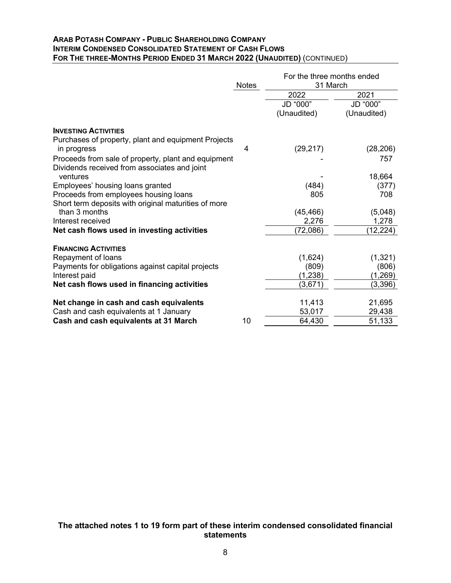#### **ARAB POTASH COMPANY - PUBLIC SHAREHOLDING COMPANY INTERIM CONDENSED CONSOLIDATED STATEMENT OF CASH FLOWS FOR THE THREE-MONTHS PERIOD ENDED 31 MARCH 2022 (UNAUDITED)** (CONTINUED)

|                                                                    | <b>Notes</b> | For the three months ended<br>31 March |                         |
|--------------------------------------------------------------------|--------------|----------------------------------------|-------------------------|
|                                                                    |              | 2022                                   | 2021                    |
|                                                                    |              | JD "000"<br>(Unaudited)                | JD "000"<br>(Unaudited) |
| <b>INVESTING ACTIVITIES</b>                                        |              |                                        |                         |
| Purchases of property, plant and equipment Projects<br>in progress | 4            | (29, 217)                              | (28, 206)               |
| Proceeds from sale of property, plant and equipment                |              |                                        | 757                     |
| Dividends received from associates and joint<br>ventures           |              |                                        | 18,664                  |
| Employees' housing loans granted                                   |              | (484)                                  | (377)                   |
| Proceeds from employees housing loans                              |              | 805                                    | 708                     |
| Short term deposits with original maturities of more               |              |                                        |                         |
| than 3 months                                                      |              | (45, 466)                              | (5,048)                 |
| Interest received                                                  |              | 2,276                                  | 1,278                   |
| Net cash flows used in investing activities                        |              | (72,086)                               | (12, 224)               |
| <b>FINANCING ACTIVITIES</b>                                        |              |                                        |                         |
| Repayment of loans                                                 |              | (1,624)                                | (1,321)                 |
| Payments for obligations against capital projects                  |              | (809)                                  | (806)                   |
| Interest paid                                                      |              | (1, 238)                               | (1,269)                 |
| Net cash flows used in financing activities                        |              | (3,671)                                | (3, 396)                |
| Net change in cash and cash equivalents                            |              | 11,413                                 | 21,695                  |
| Cash and cash equivalents at 1 January                             |              | 53,017                                 | 29,438                  |
| Cash and cash equivalents at 31 March                              | 10           | 64,430                                 | 51,133                  |

**The attached notes 1 to 19 form part of these interim condensed consolidated financial statements**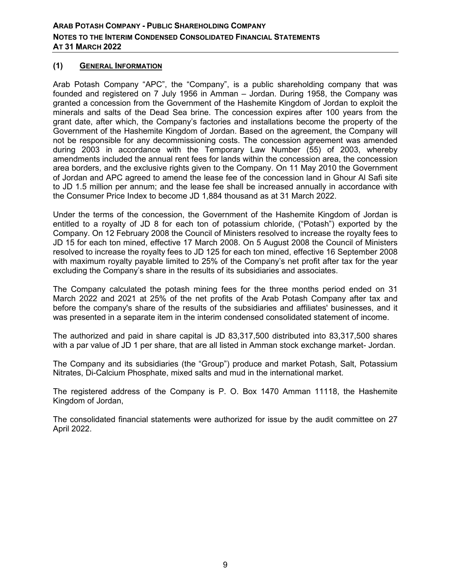# **(1) GENERAL INFORMATION**

Arab Potash Company "APC", the "Company", is a public shareholding company that was founded and registered on 7 July 1956 in Amman – Jordan. During 1958, the Company was granted a concession from the Government of the Hashemite Kingdom of Jordan to exploit the minerals and salts of the Dead Sea brine. The concession expires after 100 years from the grant date, after which, the Company's factories and installations become the property of the Government of the Hashemite Kingdom of Jordan. Based on the agreement, the Company will not be responsible for any decommissioning costs. The concession agreement was amended during 2003 in accordance with the Temporary Law Number (55) of 2003, whereby amendments included the annual rent fees for lands within the concession area, the concession area borders, and the exclusive rights given to the Company. On 11 May 2010 the Government of Jordan and APC agreed to amend the lease fee of the concession land in Ghour Al Safi site to JD 1.5 million per annum; and the lease fee shall be increased annually in accordance with the Consumer Price Index to become JD 1,884 thousand as at 31 March 2022.

Under the terms of the concession, the Government of the Hashemite Kingdom of Jordan is entitled to a royalty of JD 8 for each ton of potassium chloride, ("Potash") exported by the Company. On 12 February 2008 the Council of Ministers resolved to increase the royalty fees to JD 15 for each ton mined, effective 17 March 2008. On 5 August 2008 the Council of Ministers resolved to increase the royalty fees to JD 125 for each ton mined, effective 16 September 2008 with maximum royalty payable limited to 25% of the Company's net profit after tax for the year excluding the Company's share in the results of its subsidiaries and associates.

The Company calculated the potash mining fees for the three months period ended on 31 March 2022 and 2021 at 25% of the net profits of the Arab Potash Company after tax and before the company's share of the results of the subsidiaries and affiliates' businesses, and it was presented in a separate item in the interim condensed consolidated statement of income.

The authorized and paid in share capital is JD 83,317,500 distributed into 83,317,500 shares with a par value of JD 1 per share, that are all listed in Amman stock exchange market- Jordan.

The Company and its subsidiaries (the "Group") produce and market Potash, Salt, Potassium Nitrates, Di-Calcium Phosphate, mixed salts and mud in the international market.

The registered address of the Company is P. O. Box 1470 Amman 11118, the Hashemite Kingdom of Jordan,

The consolidated financial statements were authorized for issue by the audit committee on 27 April 2022.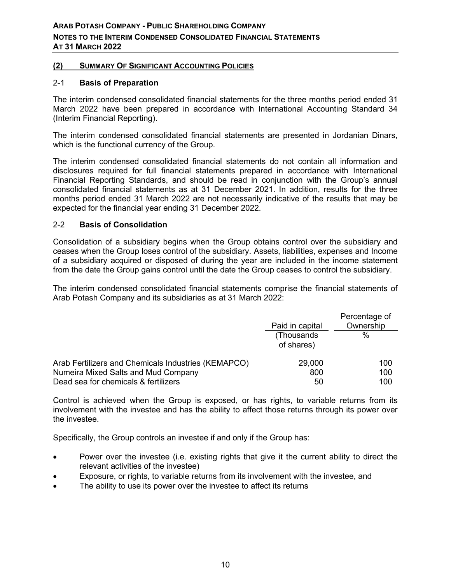## **(2) SUMMARY OF SIGNIFICANT ACCOUNTING POLICIES**

#### 2-1 **Basis of Preparation**

The interim condensed consolidated financial statements for the three months period ended 31 March 2022 have been prepared in accordance with International Accounting Standard 34 (Interim Financial Reporting).

The interim condensed consolidated financial statements are presented in Jordanian Dinars, which is the functional currency of the Group.

The interim condensed consolidated financial statements do not contain all information and disclosures required for full financial statements prepared in accordance with International Financial Reporting Standards, and should be read in conjunction with the Group's annual consolidated financial statements as at 31 December 2021. In addition, results for the three months period ended 31 March 2022 are not necessarily indicative of the results that may be expected for the financial year ending 31 December 2022.

## 2-2 **Basis of Consolidation**

Consolidation of a subsidiary begins when the Group obtains control over the subsidiary and ceases when the Group loses control of the subsidiary. Assets, liabilities, expenses and Income of a subsidiary acquired or disposed of during the year are included in the income statement from the date the Group gains control until the date the Group ceases to control the subsidiary.

The interim condensed consolidated financial statements comprise the financial statements of Arab Potash Company and its subsidiaries as at 31 March 2022:

|                                                     | Paid in capital          | Percentage of<br>Ownership |
|-----------------------------------------------------|--------------------------|----------------------------|
|                                                     | (Thousands<br>of shares) | %                          |
| Arab Fertilizers and Chemicals Industries (KEMAPCO) | 29,000                   | 100                        |
| Numeira Mixed Salts and Mud Company                 | 800                      | 100                        |
| Dead sea for chemicals & fertilizers                | 50                       | 100                        |

Control is achieved when the Group is exposed, or has rights, to variable returns from its involvement with the investee and has the ability to affect those returns through its power over the investee.

Specifically, the Group controls an investee if and only if the Group has:

- Power over the investee (i.e. existing rights that give it the current ability to direct the relevant activities of the investee)
- Exposure, or rights, to variable returns from its involvement with the investee, and
- The ability to use its power over the investee to affect its returns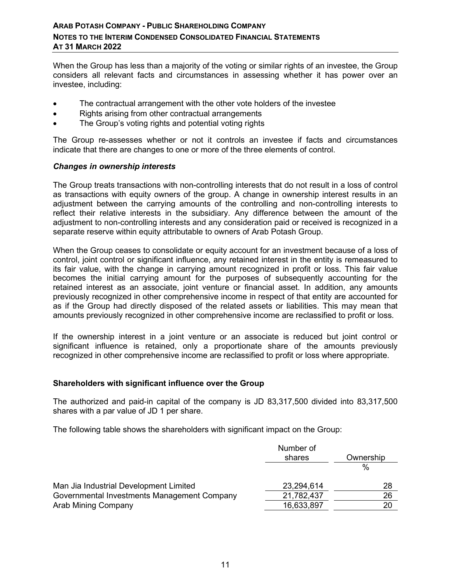When the Group has less than a majority of the voting or similar rights of an investee, the Group considers all relevant facts and circumstances in assessing whether it has power over an investee, including:

- The contractual arrangement with the other vote holders of the investee
- Rights arising from other contractual arrangements
- The Group's voting rights and potential voting rights

The Group re-assesses whether or not it controls an investee if facts and circumstances indicate that there are changes to one or more of the three elements of control.

#### *Changes in ownership interests*

The Group treats transactions with non-controlling interests that do not result in a loss of control as transactions with equity owners of the group. A change in ownership interest results in an adjustment between the carrying amounts of the controlling and non-controlling interests to reflect their relative interests in the subsidiary. Any difference between the amount of the adjustment to non-controlling interests and any consideration paid or received is recognized in a separate reserve within equity attributable to owners of Arab Potash Group.

When the Group ceases to consolidate or equity account for an investment because of a loss of control, joint control or significant influence, any retained interest in the entity is remeasured to its fair value, with the change in carrying amount recognized in profit or loss. This fair value becomes the initial carrying amount for the purposes of subsequently accounting for the retained interest as an associate, joint venture or financial asset. In addition, any amounts previously recognized in other comprehensive income in respect of that entity are accounted for as if the Group had directly disposed of the related assets or liabilities. This may mean that amounts previously recognized in other comprehensive income are reclassified to profit or loss.

If the ownership interest in a joint venture or an associate is reduced but joint control or significant influence is retained, only a proportionate share of the amounts previously recognized in other comprehensive income are reclassified to profit or loss where appropriate.

#### **Shareholders with significant influence over the Group**

The authorized and paid-in capital of the company is JD 83,317,500 divided into 83,317,500 shares with a par value of JD 1 per share.

The following table shows the shareholders with significant impact on the Group:

|                                             | Number of<br>shares | Ownership |
|---------------------------------------------|---------------------|-----------|
|                                             |                     | $\%$      |
| Man Jia Industrial Development Limited      | 23,294,614          | 28        |
| Governmental Investments Management Company | 21,782,437          | 26        |
| Arab Mining Company                         | 16,633,897          | 20        |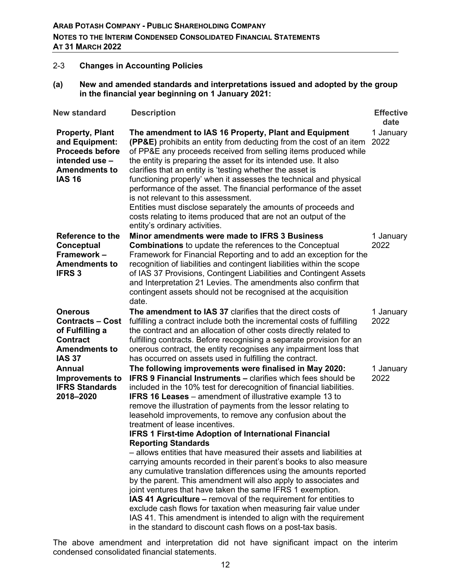# 2-3 **Changes in Accounting Policies**

#### **(a) New and amended standards and interpretations issued and adopted by the group in the financial year beginning on 1 January 2021:**

| <b>New standard</b>                                                                                                           | <b>Description</b>                                                                                                                                                                                                                                                                                                                                                                                                                                                                                                                                                                                                                                                                                                                                                                                                                                                                                                                                                                                                                                                                                                                                                   | <b>Effective</b><br>date |
|-------------------------------------------------------------------------------------------------------------------------------|----------------------------------------------------------------------------------------------------------------------------------------------------------------------------------------------------------------------------------------------------------------------------------------------------------------------------------------------------------------------------------------------------------------------------------------------------------------------------------------------------------------------------------------------------------------------------------------------------------------------------------------------------------------------------------------------------------------------------------------------------------------------------------------------------------------------------------------------------------------------------------------------------------------------------------------------------------------------------------------------------------------------------------------------------------------------------------------------------------------------------------------------------------------------|--------------------------|
| <b>Property, Plant</b><br>and Equipment:<br><b>Proceeds before</b><br>intended use -<br><b>Amendments to</b><br><b>IAS 16</b> | The amendment to IAS 16 Property, Plant and Equipment<br><b>(PP&amp;E)</b> prohibits an entity from deducting from the cost of an item<br>of PP&E any proceeds received from selling items produced while<br>the entity is preparing the asset for its intended use. It also<br>clarifies that an entity is 'testing whether the asset is<br>functioning properly' when it assesses the technical and physical<br>performance of the asset. The financial performance of the asset<br>is not relevant to this assessment.<br>Entities must disclose separately the amounts of proceeds and<br>costs relating to items produced that are not an output of the<br>entity's ordinary activities.                                                                                                                                                                                                                                                                                                                                                                                                                                                                        | 1 January<br>2022        |
| Reference to the<br>Conceptual<br>Framework -<br><b>Amendments to</b><br><b>IFRS3</b>                                         | Minor amendments were made to IFRS 3 Business<br><b>Combinations</b> to update the references to the Conceptual<br>Framework for Financial Reporting and to add an exception for the<br>recognition of liabilities and contingent liabilities within the scope<br>of IAS 37 Provisions, Contingent Liabilities and Contingent Assets<br>and Interpretation 21 Levies. The amendments also confirm that<br>contingent assets should not be recognised at the acquisition<br>date.                                                                                                                                                                                                                                                                                                                                                                                                                                                                                                                                                                                                                                                                                     | 1 January<br>2022        |
| <b>Onerous</b><br><b>Contracts – Cost</b><br>of Fulfilling a<br><b>Contract</b><br><b>Amendments to</b><br><b>IAS 37</b>      | The amendment to IAS 37 clarifies that the direct costs of<br>fulfilling a contract include both the incremental costs of fulfilling<br>the contract and an allocation of other costs directly related to<br>fulfilling contracts. Before recognising a separate provision for an<br>onerous contract, the entity recognises any impairment loss that<br>has occurred on assets used in fulfilling the contract.                                                                                                                                                                                                                                                                                                                                                                                                                                                                                                                                                                                                                                                                                                                                                     | 1 January<br>2022        |
| Annual<br><b>Improvements to</b><br><b>IFRS Standards</b><br>2018-2020                                                        | The following improvements were finalised in May 2020:<br><b>IFRS 9 Financial Instruments – clarifies which fees should be</b><br>included in the 10% test for derecognition of financial liabilities.<br><b>IFRS 16 Leases</b> – amendment of illustrative example 13 to<br>remove the illustration of payments from the lessor relating to<br>leasehold improvements, to remove any confusion about the<br>treatment of lease incentives.<br><b>IFRS 1 First-time Adoption of International Financial</b><br><b>Reporting Standards</b><br>- allows entities that have measured their assets and liabilities at<br>carrying amounts recorded in their parent's books to also measure<br>any cumulative translation differences using the amounts reported<br>by the parent. This amendment will also apply to associates and<br>joint ventures that have taken the same IFRS 1 exemption.<br>IAS 41 Agriculture – removal of the requirement for entities to<br>exclude cash flows for taxation when measuring fair value under<br>IAS 41. This amendment is intended to align with the requirement<br>in the standard to discount cash flows on a post-tax basis. | 1 January<br>2022        |

The above amendment and interpretation did not have significant impact on the interim condensed consolidated financial statements.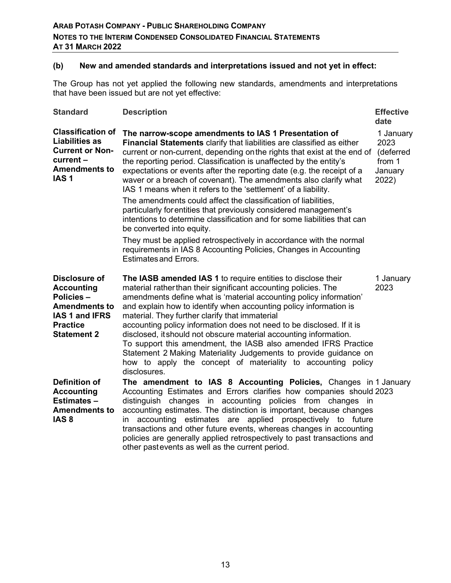# **(b) New and amended standards and interpretations issued and not yet in effect:**

The Group has not yet applied the following new standards, amendments and interpretations that have been issued but are not yet effective:

| <b>Standard</b>                                                                                                                           | <b>Description</b>                                                                                                                                                                                                                                                                                                                                                                                                                                                                                                                                                                                                                                                                               | <b>Effective</b><br>date                                     |
|-------------------------------------------------------------------------------------------------------------------------------------------|--------------------------------------------------------------------------------------------------------------------------------------------------------------------------------------------------------------------------------------------------------------------------------------------------------------------------------------------------------------------------------------------------------------------------------------------------------------------------------------------------------------------------------------------------------------------------------------------------------------------------------------------------------------------------------------------------|--------------------------------------------------------------|
| <b>Classification of</b><br><b>Liabilities as</b><br><b>Current or Non-</b><br>current -<br><b>Amendments to</b><br>IAS <sub>1</sub>      | The narrow-scope amendments to IAS 1 Presentation of<br>Financial Statements clarify that liabilities are classified as either<br>current or non-current, depending on the rights that exist at the end of<br>the reporting period. Classification is unaffected by the entity's<br>expectations or events after the reporting date (e.g. the receipt of a<br>waver or a breach of covenant). The amendments also clarify what<br>IAS 1 means when it refers to the 'settlement' of a liability.                                                                                                                                                                                                 | 1 January<br>2023<br>(deferred<br>from 1<br>January<br>2022) |
|                                                                                                                                           | The amendments could affect the classification of liabilities,<br>particularly for entities that previously considered management's<br>intentions to determine classification and for some liabilities that can<br>be converted into equity.<br>They must be applied retrospectively in accordance with the normal<br>requirements in IAS 8 Accounting Policies, Changes in Accounting<br><b>Estimates and Errors.</b>                                                                                                                                                                                                                                                                           |                                                              |
| <b>Disclosure of</b><br><b>Accounting</b><br>Policies-<br><b>Amendments to</b><br>IAS 1 and IFRS<br><b>Practice</b><br><b>Statement 2</b> | The IASB amended IAS 1 to require entities to disclose their<br>material rather than their significant accounting policies. The<br>amendments define what is 'material accounting policy information'<br>and explain how to identify when accounting policy information is<br>material. They further clarify that immaterial<br>accounting policy information does not need to be disclosed. If it is<br>disclosed, it should not obscure material accounting information.<br>To support this amendment, the IASB also amended IFRS Practice<br>Statement 2 Making Materiality Judgements to provide guidance on<br>how to apply the concept of materiality to accounting policy<br>disclosures. | 1 January<br>2023                                            |
| Definition of<br><b>Accounting</b><br>Estimates-<br><b>Amendments to</b><br>IAS <sub>8</sub>                                              | The amendment to IAS 8 Accounting Policies, Changes in 1 January<br>Accounting Estimates and Errors clarifies how companies should 2023<br>distinguish changes in accounting policies from changes in<br>accounting estimates. The distinction is important, because changes<br>accounting estimates are applied prospectively to future<br>in.<br>transactions and other future events, whereas changes in accounting<br>policies are generally applied retrospectively to past transactions and<br>other pastevents as well as the current period.                                                                                                                                             |                                                              |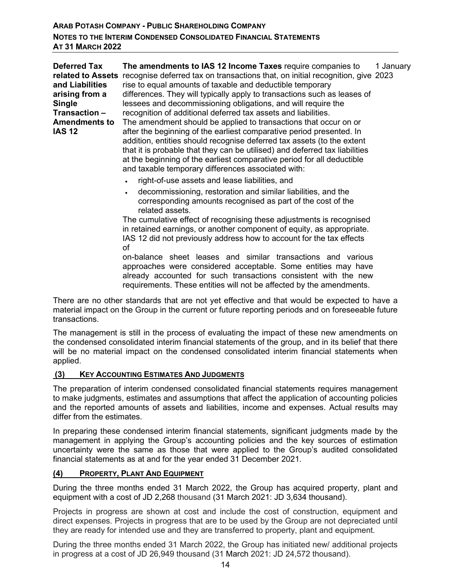| <b>Deferred Tax</b><br>related to Assets<br>and Liabilities<br>arising from a<br><b>Single</b><br>Transaction - | The amendments to IAS 12 Income Taxes require companies to<br>1 January<br>recognise deferred tax on transactions that, on initial recognition, give 2023<br>rise to equal amounts of taxable and deductible temporary<br>differences. They will typically apply to transactions such as leases of<br>lessees and decommissioning obligations, and will require the<br>recognition of additional deferred tax assets and liabilities.                                                                                                                                                                                                                                   |
|-----------------------------------------------------------------------------------------------------------------|-------------------------------------------------------------------------------------------------------------------------------------------------------------------------------------------------------------------------------------------------------------------------------------------------------------------------------------------------------------------------------------------------------------------------------------------------------------------------------------------------------------------------------------------------------------------------------------------------------------------------------------------------------------------------|
| <b>Amendments to</b><br><b>IAS 12</b>                                                                           | The amendment should be applied to transactions that occur on or<br>after the beginning of the earliest comparative period presented. In<br>addition, entities should recognise deferred tax assets (to the extent<br>that it is probable that they can be utilised) and deferred tax liabilities<br>at the beginning of the earliest comparative period for all deductible<br>and taxable temporary differences associated with:<br>right-of-use assets and lease liabilities, and                                                                                                                                                                                     |
|                                                                                                                 | decommissioning, restoration and similar liabilities, and the<br>$\bullet$<br>corresponding amounts recognised as part of the cost of the<br>related assets.<br>The cumulative effect of recognising these adjustments is recognised<br>in retained earnings, or another component of equity, as appropriate.<br>IAS 12 did not previously address how to account for the tax effects<br>οf<br>on-balance sheet leases and similar transactions and various<br>approaches were considered acceptable. Some entities may have<br>already accounted for such transactions consistent with the new<br>requirements. These entities will not be affected by the amendments. |

There are no other standards that are not yet effective and that would be expected to have a material impact on the Group in the current or future reporting periods and on foreseeable future transactions.

The management is still in the process of evaluating the impact of these new amendments on the condensed consolidated interim financial statements of the group, and in its belief that there will be no material impact on the condensed consolidated interim financial statements when applied.

## **(3) KEY ACCOUNTING ESTIMATES AND JUDGMENTS**

The preparation of interim condensed consolidated financial statements requires management to make judgments, estimates and assumptions that affect the application of accounting policies and the reported amounts of assets and liabilities, income and expenses. Actual results may differ from the estimates.

In preparing these condensed interim financial statements, significant judgments made by the management in applying the Group's accounting policies and the key sources of estimation uncertainty were the same as those that were applied to the Group's audited consolidated financial statements as at and for the year ended 31 December 2021.

## **(4) PROPERTY, PLANT AND EQUIPMENT**

During the three months ended 31 March 2022, the Group has acquired property, plant and equipment with a cost of JD 2,268 thousand (31 March 2021: JD 3,634 thousand).

Projects in progress are shown at cost and include the cost of construction, equipment and direct expenses. Projects in progress that are to be used by the Group are not depreciated until they are ready for intended use and they are transferred to property, plant and equipment.

During the three months ended 31 March 2022, the Group has initiated new/ additional projects in progress at a cost of JD 26,949 thousand (31 March 2021: JD 24,572 thousand).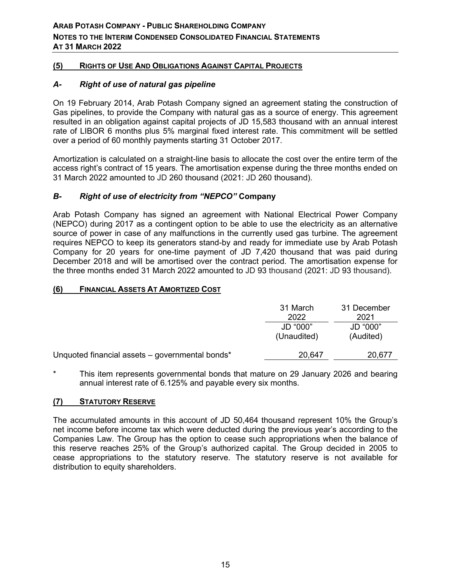# **(5) RIGHTS OF USE AND OBLIGATIONS AGAINST CAPITAL PROJECTS**

# *A- Right of use of natural gas pipeline*

On 19 February 2014, Arab Potash Company signed an agreement stating the construction of Gas pipelines, to provide the Company with natural gas as a source of energy. This agreement resulted in an obligation against capital projects of JD 15,583 thousand with an annual interest rate of LIBOR 6 months plus 5% marginal fixed interest rate. This commitment will be settled over a period of 60 monthly payments starting 31 October 2017.

Amortization is calculated on a straight-line basis to allocate the cost over the entire term of the access right's contract of 15 years. The amortisation expense during the three months ended on 31 March 2022 amounted to JD 260 thousand (2021: JD 260 thousand).

## *B- Right of use of electricity from "NEPCO"* **Company**

Arab Potash Company has signed an agreement with National Electrical Power Company (NEPCO) during 2017 as a contingent option to be able to use the electricity as an alternative source of power in case of any malfunctions in the currently used gas turbine. The agreement requires NEPCO to keep its generators stand-by and ready for immediate use by Arab Potash Company for 20 years for one-time payment of JD 7,420 thousand that was paid during December 2018 and will be amortised over the contract period. The amortisation expense for the three months ended 31 March 2022 amounted to JD 93 thousand (2021: JD 93 thousand).

## **(6) FINANCIAL ASSETS AT AMORTIZED COST**

|                                                 | 31 March<br>2022        | 31 December<br>2021   |  |
|-------------------------------------------------|-------------------------|-----------------------|--|
|                                                 | JD "000"<br>(Unaudited) | JD "000"<br>(Audited) |  |
| Unquoted financial assets – governmental bonds* | 20,647                  | 20,677                |  |

\* This item represents governmental bonds that mature on 29 January 2026 and bearing annual interest rate of 6.125% and payable every six months.

## **(7) STATUTORY RESERVE**

The accumulated amounts in this account of JD 50,464 thousand represent 10% the Group's net income before income tax which were deducted during the previous year's according to the Companies Law. The Group has the option to cease such appropriations when the balance of this reserve reaches 25% of the Group's authorized capital. The Group decided in 2005 to cease appropriations to the statutory reserve. The statutory reserve is not available for distribution to equity shareholders.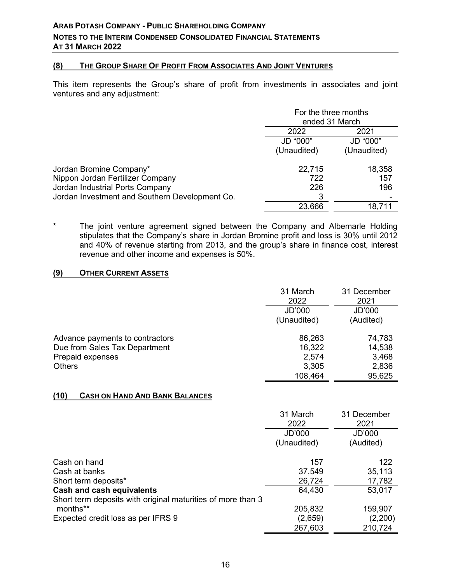## **(8) THE GROUP SHARE OF PROFIT FROM ASSOCIATES AND JOINT VENTURES**

This item represents the Group's share of profit from investments in associates and joint ventures and any adjustment:

|                                                | For the three months |             |  |
|------------------------------------------------|----------------------|-------------|--|
|                                                | ended 31 March       |             |  |
|                                                | 2022                 | 2021        |  |
|                                                | JD "000"             | JD "000"    |  |
|                                                | (Unaudited)          | (Unaudited) |  |
| Jordan Bromine Company*                        | 22,715               | 18,358      |  |
| Nippon Jordan Fertilizer Company               | 722                  | 157         |  |
| Jordan Industrial Ports Company                | 226                  | 196         |  |
| Jordan Investment and Southern Development Co. | 3                    |             |  |
|                                                | 23,666               | 18,711      |  |

\* The joint venture agreement signed between the Company and Albemarle Holding stipulates that the Company's share in Jordan Bromine profit and loss is 30% until 2012 and 40% of revenue starting from 2013, and the group's share in finance cost, interest revenue and other income and expenses is 50%.

## **(9) OTHER CURRENT ASSETS**

|                                 | 31 March<br>2022<br>JD'000<br>(Unaudited) | 31 December<br>2021<br>JD'000<br>(Audited) |
|---------------------------------|-------------------------------------------|--------------------------------------------|
| Advance payments to contractors | 86,263                                    | 74,783                                     |
| Due from Sales Tax Department   | 16,322                                    | 14,538                                     |
| Prepaid expenses                | 2,574                                     | 3,468                                      |
| <b>Others</b>                   | 3,305                                     | 2,836                                      |
|                                 | 108,464                                   | 95,625                                     |

#### **(10) CASH ON HAND AND BANK BALANCES**

|                                                             | 31 March<br>2022      | 31 December<br>2021 |
|-------------------------------------------------------------|-----------------------|---------------------|
|                                                             | JD'000<br>(Unaudited) | JD'000<br>(Audited) |
| Cash on hand                                                | 157                   | 122                 |
| Cash at banks                                               | 37,549                | 35,113              |
| Short term deposits*                                        | 26,724                | 17,782              |
| Cash and cash equivalents                                   | 64,430                | 53,017              |
| Short term deposits with original maturities of more than 3 |                       |                     |
| months**                                                    | 205,832               | 159,907             |
| Expected credit loss as per IFRS 9                          | (2,659)               | (2,200)             |
|                                                             | 267,603               | 210,724             |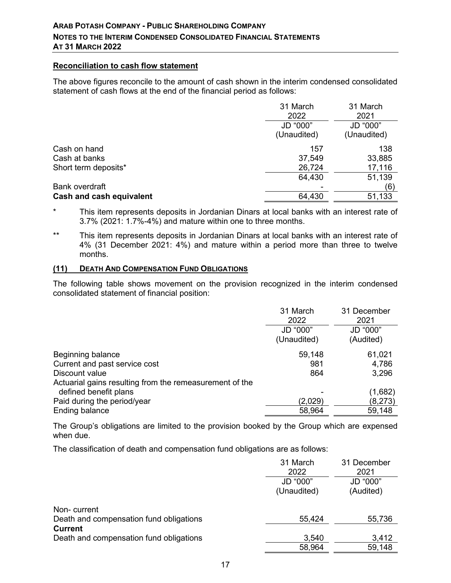#### **Reconciliation to cash flow statement**

The above figures reconcile to the amount of cash shown in the interim condensed consolidated statement of cash flows at the end of the financial period as follows:

|                          | 31 March    | 31 March    |
|--------------------------|-------------|-------------|
|                          | 2022        | 2021        |
|                          | JD "000"    | JD "000"    |
|                          | (Unaudited) | (Unaudited) |
| Cash on hand             | 157         | 138         |
| Cash at banks            | 37,549      | 33,885      |
| Short term deposits*     | 26,724      | 17,116      |
|                          | 64,430      | 51,139      |
| <b>Bank overdraft</b>    |             | (6)         |
| Cash and cash equivalent | 64,430      | 51,133      |

\* This item represents deposits in Jordanian Dinars at local banks with an interest rate of 3.7% (2021: 1.7%-4%) and mature within one to three months.

\*\* This item represents deposits in Jordanian Dinars at local banks with an interest rate of 4% (31 December 2021: 4%) and mature within a period more than three to twelve months.

#### **(11) DEATH AND COMPENSATION FUND OBLIGATIONS**

The following table shows movement on the provision recognized in the interim condensed consolidated statement of financial position:

|                                                         | 31 March<br>2022 | 31 December<br>2021 |
|---------------------------------------------------------|------------------|---------------------|
|                                                         | JD "000"         | JD "000"            |
|                                                         | (Unaudited)      | (Audited)           |
| Beginning balance                                       | 59,148           | 61,021              |
| Current and past service cost                           | 981              | 4,786               |
| Discount value                                          | 864              | 3,296               |
| Actuarial gains resulting from the remeasurement of the |                  |                     |
| defined benefit plans                                   |                  | (1,682)             |
| Paid during the period/year                             | (2,029)          | (8,273)             |
| Ending balance                                          | 58,964           | 59,148              |

The Group's obligations are limited to the provision booked by the Group which are expensed when due.

The classification of death and compensation fund obligations are as follows:

|                                         | 31 March<br>2022        | 31 December<br>2021   |
|-----------------------------------------|-------------------------|-----------------------|
|                                         | JD "000"<br>(Unaudited) | JD "000"<br>(Audited) |
| Non-current                             |                         |                       |
| Death and compensation fund obligations | 55,424                  | 55,736                |
| <b>Current</b>                          |                         |                       |
| Death and compensation fund obligations | 3,540                   | 3,412                 |
|                                         | 58,964                  | 59,148                |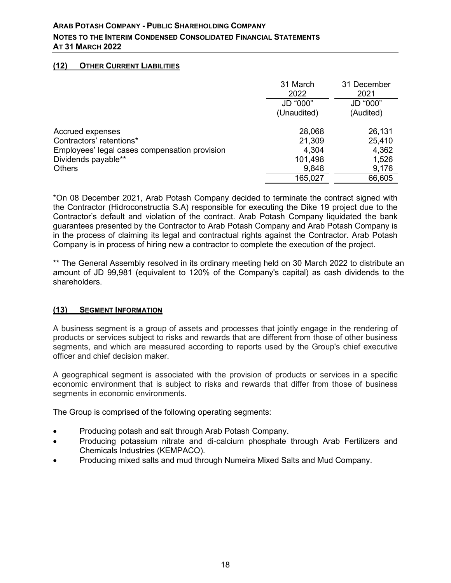# **(12) OTHER CURRENT LIABILITIES**

|                                               | 31 March<br>2022 | 31 December<br>2021 |
|-----------------------------------------------|------------------|---------------------|
|                                               | JD "000"         | JD "000"            |
|                                               | (Unaudited)      | (Audited)           |
| Accrued expenses                              | 28,068           | 26,131              |
| Contractors' retentions*                      | 21,309           | 25,410              |
| Employees' legal cases compensation provision | 4,304            | 4,362               |
| Dividends payable**                           | 101,498          | 1,526               |
| <b>Others</b>                                 | 9,848            | 9,176               |
|                                               | 165,027          | 66,605              |

\*On 08 December 2021, Arab Potash Company decided to terminate the contract signed with the Contractor (Hidroconstructia S.A) responsible for executing the Dike 19 project due to the Contractor's default and violation of the contract. Arab Potash Company liquidated the bank guarantees presented by the Contractor to Arab Potash Company and Arab Potash Company is in the process of claiming its legal and contractual rights against the Contractor. Arab Potash Company is in process of hiring new a contractor to complete the execution of the project.

\*\* The General Assembly resolved in its ordinary meeting held on 30 March 2022 to distribute an amount of JD 99,981 (equivalent to 120% of the Company's capital) as cash dividends to the shareholders.

## **(13) SEGMENT INFORMATION**

A business segment is a group of assets and processes that jointly engage in the rendering of products or services subject to risks and rewards that are different from those of other business segments, and which are measured according to reports used by the Group's chief executive officer and chief decision maker.

A geographical segment is associated with the provision of products or services in a specific economic environment that is subject to risks and rewards that differ from those of business segments in economic environments.

The Group is comprised of the following operating segments:

- Producing potash and salt through Arab Potash Company.
- Producing potassium nitrate and di-calcium phosphate through Arab Fertilizers and Chemicals Industries (KEMPACO).
- Producing mixed salts and mud through Numeira Mixed Salts and Mud Company.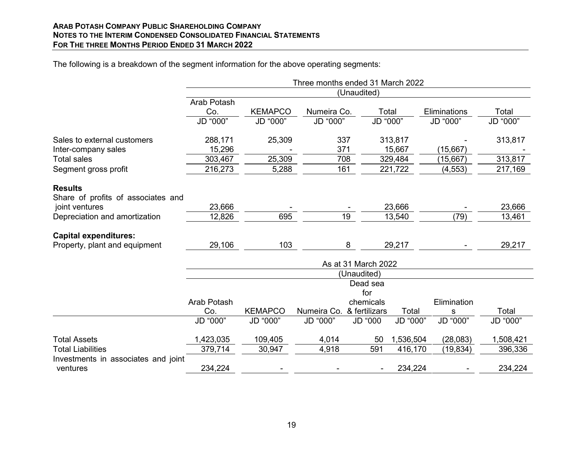#### **ARAB POTASH COMPANY PUBLIC SHAREHOLDING COMPANY NOTES TO THE INTERIM CONDENSED CONSOLIDATED FINANCIAL STATEMENTS FOR THE THREE MONTHS PERIOD ENDED 31 MARCH 2022**

|                                     |                     |                | Three months ended 31 March 2022 |                 |           |              |           |
|-------------------------------------|---------------------|----------------|----------------------------------|-----------------|-----------|--------------|-----------|
|                                     | (Unaudited)         |                |                                  |                 |           |              |           |
|                                     | Arab Potash         |                |                                  |                 |           |              |           |
|                                     | Co.                 | <b>KEMAPCO</b> | Numeira Co.                      |                 | Total     | Eliminations | Total     |
|                                     | JD "000"            | JD "000"       | JD "000"                         |                 | JD "000"  | JD "000"     | JD "000"  |
| Sales to external customers         | 288,171             | 25,309         |                                  | 337             | 313,817   |              | 313,817   |
| Inter-company sales                 | 15,296              |                |                                  | 371             | 15,667    | (15,667)     |           |
| <b>Total sales</b>                  | 303,467             | 25,309         |                                  | 708             | 329,484   | (15, 667)    | 313,817   |
| Segment gross profit                | 216,273             | 5,288          |                                  | 161             | 221,722   | (4, 553)     | 217,169   |
| <b>Results</b>                      |                     |                |                                  |                 |           |              |           |
| Share of profits of associates and  |                     |                |                                  |                 |           |              |           |
| joint ventures                      | 23,666              |                |                                  |                 | 23,666    |              | 23,666    |
| Depreciation and amortization       | 12,826              | 695            |                                  | $\overline{19}$ | 13,540    | (79)         | 13,461    |
| <b>Capital expenditures:</b>        |                     |                |                                  |                 |           |              |           |
| Property, plant and equipment       | 29,106              | 103            |                                  | 8               | 29,217    |              | 29,217    |
|                                     | As at 31 March 2022 |                |                                  |                 |           |              |           |
|                                     | (Unaudited)         |                |                                  |                 |           |              |           |
|                                     |                     |                |                                  | Dead sea        |           |              |           |
|                                     |                     |                |                                  | for             |           |              |           |
|                                     | Arab Potash         |                |                                  | chemicals       |           | Elimination  |           |
|                                     | Co.                 | <b>KEMAPCO</b> | Numeira Co. & fertilizars        |                 | Total     | s            | Total     |
|                                     | JD "000"            | JD "000"       | JD "000"                         | <b>JD</b> "000  | JD "000"  | JD "000"     | JD "000"  |
| <b>Total Assets</b>                 | 1,423,035           | 109,405        | 4,014                            | 50              | 1,536,504 | (28,083)     | 1,508,421 |
| <b>Total Liabilities</b>            | 379,714             | 30,947         | 4,918                            | 591             | 416,170   | (19, 834)    | 396,336   |
| Investments in associates and joint |                     |                |                                  |                 |           |              |           |
| ventures                            | 234,224             |                |                                  |                 | 234,224   |              | 234,224   |

The following is a breakdown of the segment information for the above operating segments: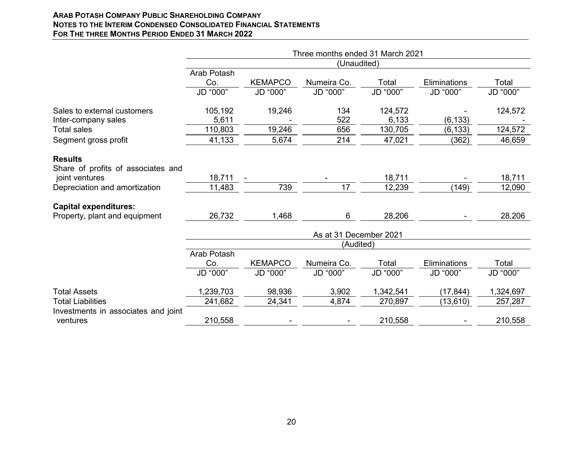## **ARAB POTASH COMPANY PUBLIC SHAREHOLDING COMPANY NOTES TO THE INTERIM CONDENSED CONSOLIDATED FINANCIAL STATEMENTS FOR THE THREE MONTHS PERIOD ENDED 31 MARCH 2022**

|                                     |                        |                | Three months ended 31 March 2021 |           |              |           |  |  |
|-------------------------------------|------------------------|----------------|----------------------------------|-----------|--------------|-----------|--|--|
|                                     | (Unaudited)            |                |                                  |           |              |           |  |  |
|                                     | Arab Potash            |                |                                  |           |              |           |  |  |
|                                     | Co.                    | <b>KEMAPCO</b> | Numeira Co.                      | Total     | Eliminations | Total     |  |  |
|                                     | JD "000"               | JD "000"       | JD "000"                         | JD "000"  | JD "000"     | JD "000"  |  |  |
| Sales to external customers         | 105,192                | 19,246         | 134                              | 124,572   |              | 124,572   |  |  |
| Inter-company sales                 | 5,611                  |                | 522                              | 6,133     | (6, 133)     |           |  |  |
| <b>Total sales</b>                  | 110,803                | 19,246         | 656                              | 130,705   | (6, 133)     | 124,572   |  |  |
| Segment gross profit                | 41,133                 | 5,674          | 214                              | 47,021    | (362)        | 46,659    |  |  |
| <b>Results</b>                      |                        |                |                                  |           |              |           |  |  |
| Share of profits of associates and  |                        |                |                                  |           |              |           |  |  |
| joint ventures                      | 18,711                 |                |                                  | 18,711    |              | 18,711    |  |  |
| Depreciation and amortization       | 11,483                 | 739            | 17                               | 12,239    | (149)        | 12,090    |  |  |
| <b>Capital expenditures:</b>        |                        |                |                                  |           |              |           |  |  |
| Property, plant and equipment       | 26,732                 | 1,468          | 6                                | 28,206    |              | 28,206    |  |  |
|                                     | As at 31 December 2021 |                |                                  |           |              |           |  |  |
|                                     |                        |                | (Audited)                        |           |              |           |  |  |
|                                     | Arab Potash            |                |                                  |           |              |           |  |  |
|                                     | Co.                    | <b>KEMAPCO</b> | Numeira Co.                      | Total     | Eliminations | Total     |  |  |
|                                     | JD "000"               | JD "000"       | JD "000"                         | JD "000"  | JD "000"     | JD "000"  |  |  |
| <b>Total Assets</b>                 | 1,239,703              | 98,936         | 3,902                            | 1,342,541 | (17, 844)    | 1,324,697 |  |  |
| <b>Total Liabilities</b>            | 241,682                | 24,341         | 4,874                            | 270,897   | (13, 610)    | 257,287   |  |  |
| Investments in associates and joint |                        |                |                                  |           |              |           |  |  |
| ventures                            | 210,558                |                | $\overline{\phantom{a}}$         | 210,558   |              | 210,558   |  |  |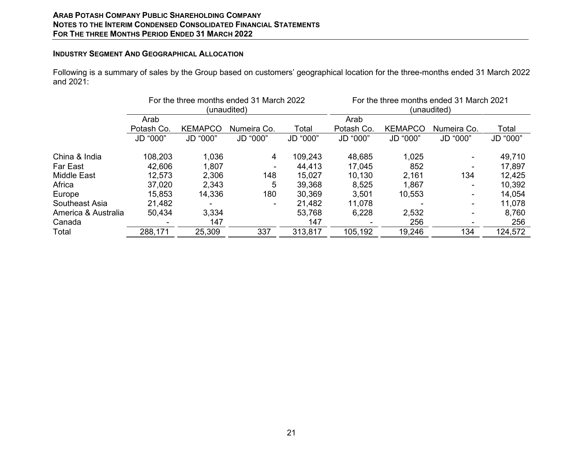#### **ARAB POTASH COMPANY PUBLIC SHAREHOLDING COMPANY NOTES TO THE INTERIM CONDENSED CONSOLIDATED FINANCIAL STATEMENTS FOR THE THREE MONTHS PERIOD ENDED 31 MARCH 2022**

#### **INDUSTRY SEGMENT AND GEOGRAPHICAL ALLOCATION**

Following is a summary of sales by the Group based on customers' geographical location for the three-months ended 31 March 2022 and 2021:

|                     | For the three months ended 31 March 2022<br>(unaudited) |                |             |          | For the three months ended 31 March 2021<br>(unaudited) |                |             |          |
|---------------------|---------------------------------------------------------|----------------|-------------|----------|---------------------------------------------------------|----------------|-------------|----------|
|                     | Arab                                                    |                |             |          | Arab                                                    |                |             |          |
|                     | Potash Co.                                              | <b>KEMAPCO</b> | Numeira Co. | Total    | Potash Co.                                              | <b>KEMAPCO</b> | Numeira Co. | Total    |
|                     | JD "000"                                                | JD "000"       | JD "000"    | JD "000" | JD "000"                                                | JD "000"       | JD "000"    | JD "000" |
| China & India       | 108,203                                                 | 1,036          | 4           | 109,243  | 48,685                                                  | 1,025          |             | 49,710   |
| Far East            | 42,606                                                  | 1,807          |             | 44,413   | 17,045                                                  | 852            |             | 17,897   |
| <b>Middle East</b>  | 12,573                                                  | 2,306          | 148         | 15,027   | 10,130                                                  | 2,161          | 134         | 12,425   |
| Africa              | 37,020                                                  | 2,343          | 5           | 39,368   | 8,525                                                   | 1,867          |             | 10,392   |
| Europe              | 15,853                                                  | 14,336         | 180         | 30,369   | 3,501                                                   | 10,553         | $\sim$      | 14,054   |
| Southeast Asia      | 21,482                                                  |                |             | 21,482   | 11,078                                                  |                |             | 11,078   |
| America & Australia | 50,434                                                  | 3,334          |             | 53,768   | 6,228                                                   | 2,532          |             | 8,760    |
| Canada              |                                                         | 147            |             | 147      |                                                         | 256            |             | 256      |
| Total               | 288,171                                                 | 25,309         | 337         | 313,817  | 105,192                                                 | 19,246         | 134         | 124,572  |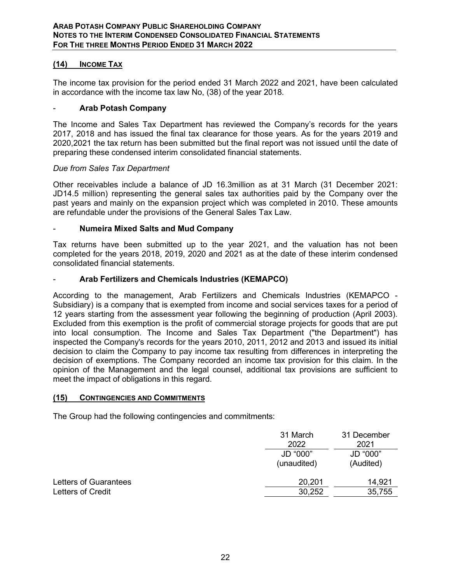## **(14) INCOME TAX**

The income tax provision for the period ended 31 March 2022 and 2021, have been calculated in accordance with the income tax law No, (38) of the year 2018.

#### - **Arab Potash Company**

The Income and Sales Tax Department has reviewed the Company's records for the years 2017, 2018 and has issued the final tax clearance for those years. As for the years 2019 and 2020,2021 the tax return has been submitted but the final report was not issued until the date of preparing these condensed interim consolidated financial statements.

#### *Due from Sales Tax Department*

Other receivables include a balance of JD 16.3million as at 31 March (31 December 2021: JD14.5 million) representing the general sales tax authorities paid by the Company over the past years and mainly on the expansion project which was completed in 2010. These amounts are refundable under the provisions of the General Sales Tax Law.

## - **Numeira Mixed Salts and Mud Company**

Tax returns have been submitted up to the year 2021, and the valuation has not been completed for the years 2018, 2019, 2020 and 2021 as at the date of these interim condensed consolidated financial statements.

## - **Arab Fertilizers and Chemicals Industries (KEMAPCO)**

According to the management, Arab Fertilizers and Chemicals Industries (KEMAPCO - Subsidiary) is a company that is exempted from income and social services taxes for a period of 12 years starting from the assessment year following the beginning of production (April 2003). Excluded from this exemption is the profit of commercial storage projects for goods that are put into local consumption. The Income and Sales Tax Department ("the Department") has inspected the Company's records for the years 2010, 2011, 2012 and 2013 and issued its initial decision to claim the Company to pay income tax resulting from differences in interpreting the decision of exemptions. The Company recorded an income tax provision for this claim. In the opinion of the Management and the legal counsel, additional tax provisions are sufficient to meet the impact of obligations in this regard.

#### **(15) CONTINGENCIES AND COMMITMENTS**

The Group had the following contingencies and commitments:

|                       | 31 March<br>2022        | 31 December<br>2021   |
|-----------------------|-------------------------|-----------------------|
|                       | JD "000"<br>(unaudited) | JD "000"<br>(Audited) |
| Letters of Guarantees | 20,201                  | 14,921                |
| Letters of Credit     | 30,252                  | 35,755                |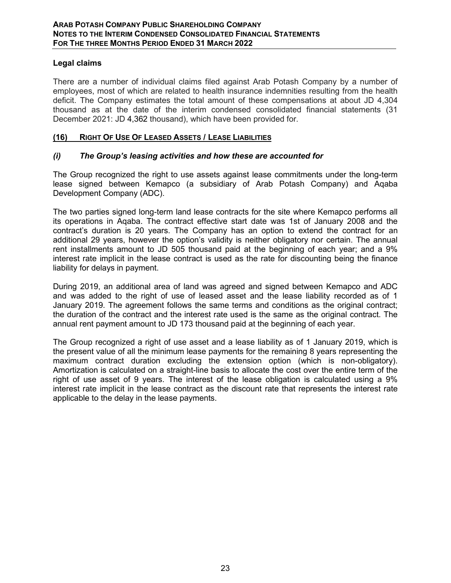# **Legal claims**

There are a number of individual claims filed against Arab Potash Company by a number of employees, most of which are related to health insurance indemnities resulting from the health deficit. The Company estimates the total amount of these compensations at about JD 4,304 thousand as at the date of the interim condensed consolidated financial statements (31 December 2021: JD 4,362 thousand), which have been provided for.

## **(16) RIGHT OF USE OF LEASED ASSETS / LEASE LIABILITIES**

# *(i) The Group's leasing activities and how these are accounted for*

The Group recognized the right to use assets against lease commitments under the long-term lease signed between Kemapco (a subsidiary of Arab Potash Company) and Aqaba Development Company (ADC).

The two parties signed long-term land lease contracts for the site where Kemapco performs all its operations in Aqaba. The contract effective start date was 1st of January 2008 and the contract's duration is 20 years. The Company has an option to extend the contract for an additional 29 years, however the option's validity is neither obligatory nor certain. The annual rent installments amount to JD 505 thousand paid at the beginning of each year; and a 9% interest rate implicit in the lease contract is used as the rate for discounting being the finance liability for delays in payment.

During 2019, an additional area of land was agreed and signed between Kemapco and ADC and was added to the right of use of leased asset and the lease liability recorded as of 1 January 2019. The agreement follows the same terms and conditions as the original contract; the duration of the contract and the interest rate used is the same as the original contract. The annual rent payment amount to JD 173 thousand paid at the beginning of each year.

The Group recognized a right of use asset and a lease liability as of 1 January 2019, which is the present value of all the minimum lease payments for the remaining 8 years representing the maximum contract duration excluding the extension option (which is non-obligatory). Amortization is calculated on a straight-line basis to allocate the cost over the entire term of the right of use asset of 9 years. The interest of the lease obligation is calculated using a 9% interest rate implicit in the lease contract as the discount rate that represents the interest rate applicable to the delay in the lease payments.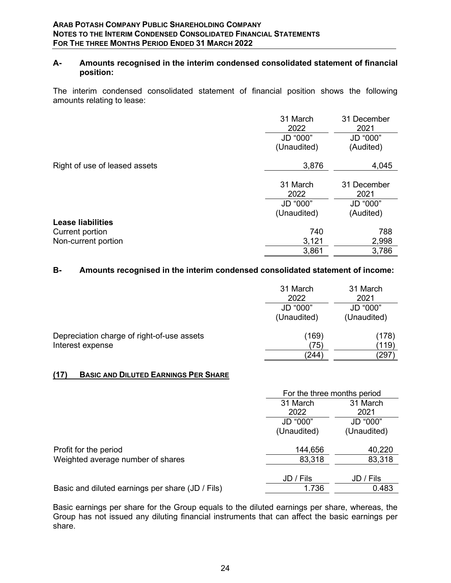## **A- Amounts recognised in the interim condensed consolidated statement of financial position:**

The interim condensed consolidated statement of financial position shows the following amounts relating to lease:

|                               | 31 March<br>2022        | 31 December<br>2021   |
|-------------------------------|-------------------------|-----------------------|
|                               | JD "000"<br>(Unaudited) | JD "000"<br>(Audited) |
|                               |                         |                       |
| Right of use of leased assets | 3,876                   | 4,045                 |
|                               | 31 March<br>2022        | 31 December<br>2021   |
|                               | JD "000"                | JD "000"              |
|                               | (Unaudited)             | (Audited)             |
| <b>Lease liabilities</b>      |                         |                       |
| Current portion               | 740                     | 788                   |
| Non-current portion           | 3,121                   | 2,998                 |
|                               | 3,861                   | 3,786                 |

## **B- Amounts recognised in the interim condensed consolidated statement of income:**

|                                                                | 31 March<br>2022        | 31 March<br>2021        |
|----------------------------------------------------------------|-------------------------|-------------------------|
|                                                                | JD "000"<br>(Unaudited) | JD "000"<br>(Unaudited) |
| Depreciation charge of right-of-use assets<br>Interest expense | (169)<br>(75)           | (178)<br>(119)          |
|                                                                | (244)                   | 297                     |

#### **(17) BASIC AND DILUTED EARNINGS PER SHARE**

|                                                  |             | For the three months period |  |
|--------------------------------------------------|-------------|-----------------------------|--|
|                                                  | 31 March    | 31 March                    |  |
|                                                  | 2022        | 2021                        |  |
|                                                  | JD "000"    | JD "000"                    |  |
|                                                  | (Unaudited) | (Unaudited)                 |  |
| Profit for the period                            | 144,656     | 40,220                      |  |
| Weighted average number of shares                | 83,318      | 83,318                      |  |
|                                                  |             |                             |  |
|                                                  | JD / Fils   | JD / Fils                   |  |
| Basic and diluted earnings per share (JD / Fils) | 1.736       | 0.483                       |  |

Basic earnings per share for the Group equals to the diluted earnings per share, whereas, the Group has not issued any diluting financial instruments that can affect the basic earnings per share.